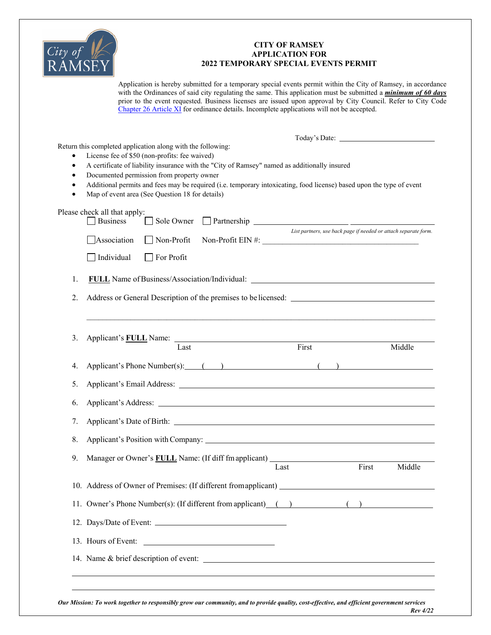

## **CITY OF RAMSEY APPLICATION FOR 2022 TEMPORARY SPECIAL EVENTS PERMIT**

Application is hereby submitted for a temporary special events permit within the City of Ramsey, in accordance with the Ordinances of said city regulating the same. This application must be submitted a *minimum of 60 days* prior to the event requested. Business licenses are issued upon approval by City Council. Refer to City Code Chapter 26 Article XI for ordinance details. Incomplete applications will not be accepted.

| $\bullet$ | Return this completed application along with the following:<br>License fee of \$50 (non-profits: fee waived)<br>A certificate of liability insurance with the "City of Ramsey" named as additionally insured<br>Documented permission from property owner<br>Additional permits and fees may be required (i.e. temporary intoxicating, food license) based upon the type of event<br>Map of event area (See Question 18 for details) |  |  |  |
|-----------|--------------------------------------------------------------------------------------------------------------------------------------------------------------------------------------------------------------------------------------------------------------------------------------------------------------------------------------------------------------------------------------------------------------------------------------|--|--|--|
|           | Please check all that apply:<br><b>Business</b><br>Sole Owner                                                                                                                                                                                                                                                                                                                                                                        |  |  |  |
|           | List partners, use back page if needed or attach separate form.<br>Non-Profit EIN #:<br>Association<br>Non-Profit                                                                                                                                                                                                                                                                                                                    |  |  |  |
|           | Individual<br>For Profit                                                                                                                                                                                                                                                                                                                                                                                                             |  |  |  |
| 1.        |                                                                                                                                                                                                                                                                                                                                                                                                                                      |  |  |  |
| 2.        |                                                                                                                                                                                                                                                                                                                                                                                                                                      |  |  |  |
| 3.        | First<br>Middle<br>Last                                                                                                                                                                                                                                                                                                                                                                                                              |  |  |  |
| 4.        | Applicant's Phone Number(s): () () ()                                                                                                                                                                                                                                                                                                                                                                                                |  |  |  |
| 5.        |                                                                                                                                                                                                                                                                                                                                                                                                                                      |  |  |  |
| 6.        |                                                                                                                                                                                                                                                                                                                                                                                                                                      |  |  |  |
| 7.        |                                                                                                                                                                                                                                                                                                                                                                                                                                      |  |  |  |
| 8.        |                                                                                                                                                                                                                                                                                                                                                                                                                                      |  |  |  |
| 9.        | First<br>Middle<br>Last                                                                                                                                                                                                                                                                                                                                                                                                              |  |  |  |
|           | 10. Address of Owner of Premises: (If different from applicant) _________________                                                                                                                                                                                                                                                                                                                                                    |  |  |  |
|           | 11. Owner's Phone Number(s): (If different from applicant) () () ()                                                                                                                                                                                                                                                                                                                                                                  |  |  |  |
|           | 12. Days/Date of Event:                                                                                                                                                                                                                                                                                                                                                                                                              |  |  |  |
|           | 13. Hours of Event:                                                                                                                                                                                                                                                                                                                                                                                                                  |  |  |  |
|           | 14. Name & brief description of event:                                                                                                                                                                                                                                                                                                                                                                                               |  |  |  |

*Our Mission: To work together to responsibly grow our community, and to provide quality, cost-effective, and efficient government services Rev 4/22*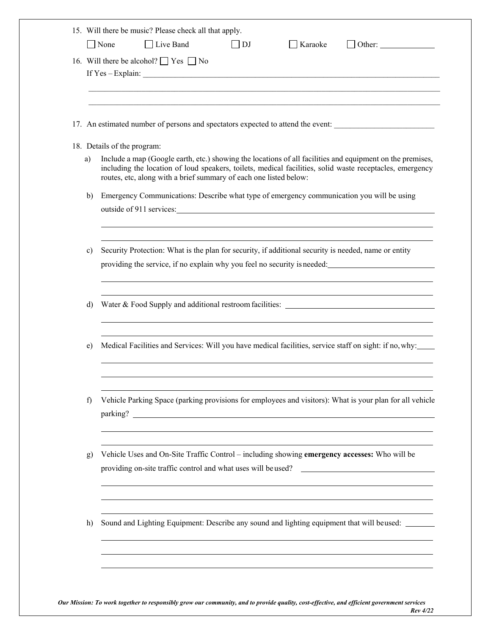|    | 15. Will there be music? Please check all that apply.<br>$\Box$ None<br>$\Box$ Live Band<br>$\vert$ $\vert$ DJ<br>$\Box$ Karaoke<br>$\Box$ Other:                                                                                                                                                                         |
|----|---------------------------------------------------------------------------------------------------------------------------------------------------------------------------------------------------------------------------------------------------------------------------------------------------------------------------|
|    | 16. Will there be alcohol? $\Box$ Yes $\Box$ No                                                                                                                                                                                                                                                                           |
|    | 17. An estimated number of persons and spectators expected to attend the event:                                                                                                                                                                                                                                           |
| a) | 18. Details of the program:<br>Include a map (Google earth, etc.) showing the locations of all facilities and equipment on the premises,<br>including the location of loud speakers, toilets, medical facilities, solid waste receptacles, emergency<br>routes, etc, along with a brief summary of each one listed below: |
| b) | Emergency Communications: Describe what type of emergency communication you will be using                                                                                                                                                                                                                                 |
| c) | Security Protection: What is the plan for security, if additional security is needed, name or entity<br>providing the service, if no explain why you feel no security is needed:                                                                                                                                          |
| d) |                                                                                                                                                                                                                                                                                                                           |
| e) | Medical Facilities and Services: Will you have medical facilities, service staff on sight: if no, why:                                                                                                                                                                                                                    |
| f) | Vehicle Parking Space (parking provisions for employees and visitors): What is your plan for all vehicle                                                                                                                                                                                                                  |
| g) | Vehicle Uses and On-Site Traffic Control - including showing emergency accesses: Who will be<br>providing on-site traffic control and what uses will be used?<br><u> Alexandria de la contentación de la contentación de la contentación de la contentación de la contentación de</u>                                     |
| h) | Sound and Lighting Equipment: Describe any sound and lighting equipment that will beused: _______                                                                                                                                                                                                                         |

*Our Mission: To work together to responsibly grow our community, and to provide quality, cost-effective, and efficient government services Rev 4/22*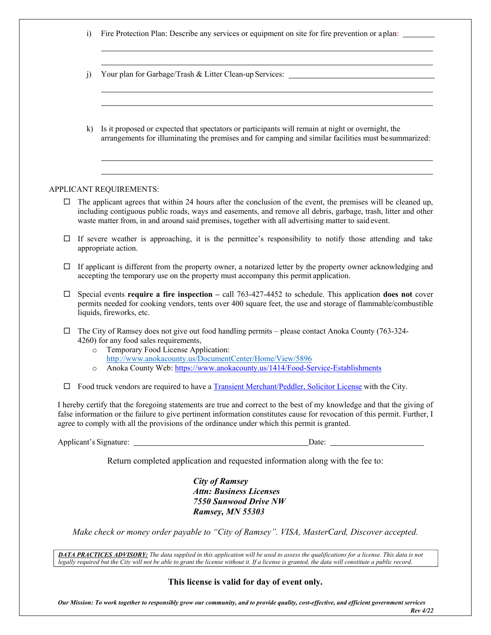|        | $\ddot{1}$         | Fire Protection Plan: Describe any services or equipment on site for fire prevention or a plan:                                                                                                                                                                                                                                                      |
|--------|--------------------|------------------------------------------------------------------------------------------------------------------------------------------------------------------------------------------------------------------------------------------------------------------------------------------------------------------------------------------------------|
|        | j)                 | Your plan for Garbage/Trash & Litter Clean-up Services: _________________________                                                                                                                                                                                                                                                                    |
|        | $\bf k$            | Is it proposed or expected that spectators or participants will remain at night or overnight, the<br>arrangements for illuminating the premises and for camping and similar facilities must be summarized:                                                                                                                                           |
|        |                    | APPLICANT REQUIREMENTS:                                                                                                                                                                                                                                                                                                                              |
| ⊔      |                    | The applicant agrees that within 24 hours after the conclusion of the event, the premises will be cleaned up,<br>including contiguous public roads, ways and easements, and remove all debris, garbage, trash, litter and other<br>waste matter from, in and around said premises, together with all advertising matter to said event.               |
| □      |                    | If severe weather is approaching, it is the permittee's responsibility to notify those attending and take<br>appropriate action.                                                                                                                                                                                                                     |
| $\Box$ |                    | If applicant is different from the property owner, a notarized letter by the property owner acknowledging and<br>accepting the temporary use on the property must accompany this permit application.                                                                                                                                                 |
| □      |                    | Special events require a fire inspection $-$ call $763-427-4452$ to schedule. This application does not cover<br>permits needed for cooking vendors, tents over 400 square feet, the use and storage of flammable/combustible<br>liquids, fireworks, etc.                                                                                            |
| □      | $\circ$<br>$\circ$ | The City of Ramsey does not give out food handling permits – please contact Anoka County (763-324-<br>4260) for any food sales requirements,<br>Temporary Food License Application:<br>http://www.anokacounty.us/DocumentCenter/Home/View/5896<br>Anoka County Web: https://www.anokacounty.us/1414/Food-Service-Establishments                      |
|        |                    | Food truck vendors are required to have a Transient Merchant/Peddler, Solicitor License with the City.                                                                                                                                                                                                                                               |
|        |                    | I hereby certify that the foregoing statements are true and correct to the best of my knowledge and that the giving of<br>false information or the failure to give pertinent information constitutes cause for revocation of this permit. Further, I<br>agree to comply with all the provisions of the ordinance under which this permit is granted. |
|        |                    |                                                                                                                                                                                                                                                                                                                                                      |
|        |                    | Return completed application and requested information along with the fee to:                                                                                                                                                                                                                                                                        |
|        |                    | <b>City of Ramsey</b><br><b>Attn: Business Licenses</b><br><b>7550 Sunwood Drive NW</b><br>Ramsey, MN 55303                                                                                                                                                                                                                                          |

*Make check or money order payable to "City of Ramsey". VISA, MasterCard, Discover accepted.* 

*DATA PRACTICES ADVISORY: The data supplied in this application will be used to assess the qualifications for a license. This data is not*  legally required but the City will not be able to grant the license without it. If a license is granted, the data will constitute a public record.

**This license is valid for day of event only.** 

*Our Mission: To work together to responsibly grow our community, and to provide quality, cost-effective, and efficient government services Rev 4/22*